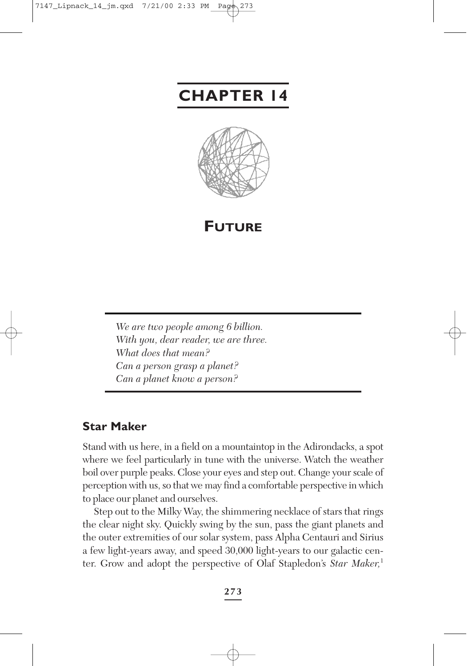# **CHAPTER 14**



**FUTURE**

*We are two people among 6 billion. With you, dear reader, we are three. What does that mean? Can a person grasp a planet? Can a planet know a person?*

## **Star Maker**

Stand with us here, in a field on a mountaintop in the Adirondacks, a spot where we feel particularly in tune with the universe. Watch the weather boil over purple peaks. Close your eyes and step out. Change your scale of perception with us, so that we may find a comfortable perspective in which to place our planet and ourselves.

Step out to the Milky Way, the shimmering necklace of stars that rings the clear night sky. Quickly swing by the sun, pass the giant planets and the outer extremities of our solar system, pass Alpha Centauri and Sirius a few light-years away, and speed 30,000 light-years to our galactic center. Grow and adopt the perspective of Olaf Stapledon's *Star Maker*,<sup>1</sup>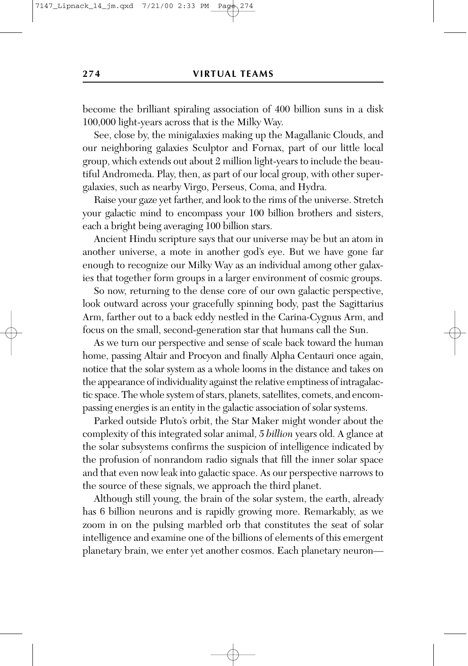become the brilliant spiraling association of 400 billion suns in a disk 100,000 light-years across that is the Milky Way.

See, close by, the minigalaxies making up the Magallanic Clouds, and our neighboring galaxies Sculptor and Fornax, part of our little local group, which extends out about 2 million light-years to include the beautiful Andromeda. Play, then, as part of our local group, with other supergalaxies, such as nearby Virgo, Perseus, Coma, and Hydra.

Raise your gaze yet farther, and look to the rims of the universe. Stretch your galactic mind to encompass your 100 billion brothers and sisters, each a bright being averaging 100 billion stars.

Ancient Hindu scripture says that our universe may be but an atom in another universe, a mote in another god's eye. But we have gone far enough to recognize our Milky Way as an individual among other galaxies that together form groups in a larger environment of cosmic groups.

So now, returning to the dense core of our own galactic perspective, look outward across your gracefully spinning body, past the Sagittarius Arm, farther out to a back eddy nestled in the Carina-Cygnus Arm, and focus on the small, second-generation star that humans call the Sun.

As we turn our perspective and sense of scale back toward the human home, passing Altair and Procyon and finally Alpha Centauri once again, notice that the solar system as a whole looms in the distance and takes on the appearance of individuality against the relative emptiness of intragalactic space. The whole system of stars, planets, satellites, comets, and encompassing energies is an entity in the galactic association of solar systems.

Parked outside Pluto's orbit, the Star Maker might wonder about the complexity of this integrated solar animal, *5 billion* years old. A glance at the solar subsystems confirms the suspicion of intelligence indicated by the profusion of nonrandom radio signals that fill the inner solar space and that even now leak into galactic space. As our perspective narrows to the source of these signals, we approach the third planet.

Although still young, the brain of the solar system, the earth, already has 6 billion neurons and is rapidly growing more. Remarkably, as we zoom in on the pulsing marbled orb that constitutes the seat of solar intelligence and examine one of the billions of elements of this emergent planetary brain, we enter yet another cosmos. Each planetary neuron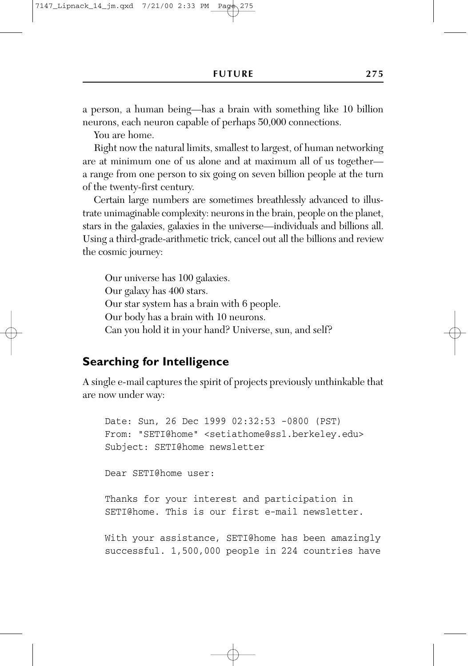a person, a human being—has a brain with something like 10 billion neurons, each neuron capable of perhaps 50,000 connections.

You are home.

Right now the natural limits, smallest to largest, of human networking are at minimum one of us alone and at maximum all of us together a range from one person to six going on seven billion people at the turn of the twenty-first century.

Certain large numbers are sometimes breathlessly advanced to illustrate unimaginable complexity: neurons in the brain, people on the planet, stars in the galaxies, galaxies in the universe—individuals and billions all. Using a third-grade-arithmetic trick, cancel out all the billions and review the cosmic journey:

Our universe has 100 galaxies. Our galaxy has 400 stars. Our star system has a brain with 6 people. Our body has a brain with 10 neurons. Can you hold it in your hand? Universe, sun, and self?

## **Searching for Intelligence**

A single e-mail captures the spirit of projects previously unthinkable that are now under way:

Date: Sun, 26 Dec 1999 02:32:53 -0800 (PST) From: "SETI@home" <setiathome@ssl.berkeley.edu> Subject: SETI@home newsletter Dear SETI@home user: Thanks for your interest and participation in SETI@home. This is our first e-mail newsletter. With your assistance, SETI@home has been amazingly successful. 1,500,000 people in 224 countries have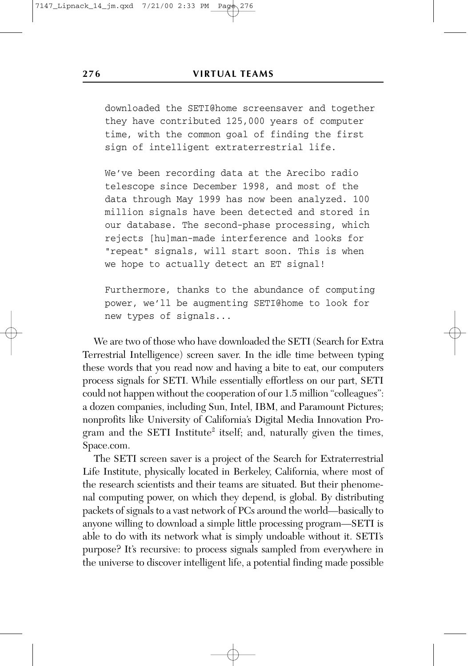downloaded the SETI@home screensaver and together they have contributed 125,000 years of computer time, with the common goal of finding the first sign of intelligent extraterrestrial life.

We've been recording data at the Arecibo radio telescope since December 1998, and most of the data through May 1999 has now been analyzed. 100 million signals have been detected and stored in our database. The second-phase processing, which rejects [hu]man-made interference and looks for "repeat" signals, will start soon. This is when we hope to actually detect an ET signal!

Furthermore, thanks to the abundance of computing power, we'll be augmenting SETI@home to look for new types of signals...

We are two of those who have downloaded the SETI (Search for Extra Terrestrial Intelligence) screen saver. In the idle time between typing these words that you read now and having a bite to eat, our computers process signals for SETI. While essentially effortless on our part, SETI could not happen without the cooperation of our 1.5 million "colleagues": a dozen companies, including Sun, Intel, IBM, and Paramount Pictures; nonprofits like University of California's Digital Media Innovation Program and the SETI Institute<sup>2</sup> itself; and, naturally given the times, Space.com.

The SETI screen saver is a project of the Search for Extraterrestrial Life Institute, physically located in Berkeley, California, where most of the research scientists and their teams are situated. But their phenomenal computing power, on which they depend, is global. By distributing packets of signals to a vast network of PCs around the world—basically to anyone willing to download a simple little processing program—SETI is able to do with its network what is simply undoable without it. SETI's purpose? It's recursive: to process signals sampled from everywhere in the universe to discover intelligent life, a potential finding made possible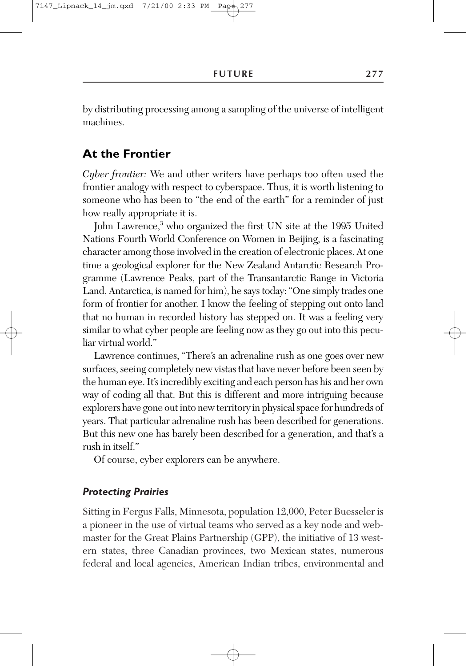by distributing processing among a sampling of the universe of intelligent machines.

## **At the Frontier**

*Cyber frontier:* We and other writers have perhaps too often used the frontier analogy with respect to cyberspace. Thus, it is worth listening to someone who has been to "the end of the earth" for a reminder of just how really appropriate it is.

John Lawrence, $3$  who organized the first UN site at the 1995 United Nations Fourth World Conference on Women in Beijing, is a fascinating character among those involved in the creation of electronic places. At one time a geological explorer for the New Zealand Antarctic Research Programme (Lawrence Peaks, part of the Transantarctic Range in Victoria Land, Antarctica, is named for him), he says today: "One simply trades one form of frontier for another. I know the feeling of stepping out onto land that no human in recorded history has stepped on. It was a feeling very similar to what cyber people are feeling now as they go out into this peculiar virtual world."

Lawrence continues, "There's an adrenaline rush as one goes over new surfaces, seeing completely new vistas that have never before been seen by the human eye. It's incredibly exciting and each person has his and her own way of coding all that. But this is different and more intriguing because explorers have gone out into new territory in physical space for hundreds of years. That particular adrenaline rush has been described for generations. But this new one has barely been described for a generation, and that's a rush in itself."

Of course, cyber explorers can be anywhere.

#### *Protecting Prairies*

Sitting in Fergus Falls, Minnesota, population 12,000, Peter Buesseler is a pioneer in the use of virtual teams who served as a key node and webmaster for the Great Plains Partnership (GPP), the initiative of 13 western states, three Canadian provinces, two Mexican states, numerous federal and local agencies, American Indian tribes, environmental and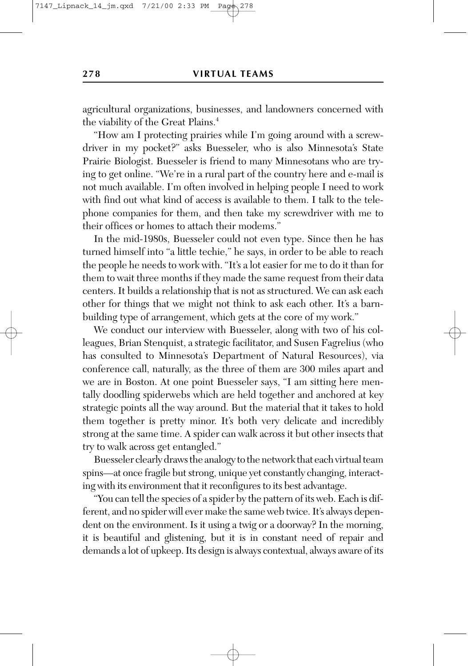agricultural organizations, businesses, and landowners concerned with the viability of the Great Plains.<sup>4</sup>

"How am I protecting prairies while I'm going around with a screwdriver in my pocket?" asks Buesseler, who is also Minnesota's State Prairie Biologist. Buesseler is friend to many Minnesotans who are trying to get online. "We're in a rural part of the country here and e-mail is not much available. I'm often involved in helping people I need to work with find out what kind of access is available to them. I talk to the telephone companies for them, and then take my screwdriver with me to their offices or homes to attach their modems."

In the mid-1980s, Buesseler could not even type. Since then he has turned himself into "a little techie," he says, in order to be able to reach the people he needs to work with. "It's a lot easier for me to do it than for them to wait three months if they made the same request from their data centers. It builds a relationship that is not as structured. We can ask each other for things that we might not think to ask each other. It's a barnbuilding type of arrangement, which gets at the core of my work."

We conduct our interview with Buesseler, along with two of his colleagues, Brian Stenquist, a strategic facilitator, and Susen Fagrelius (who has consulted to Minnesota's Department of Natural Resources), via conference call, naturally, as the three of them are 300 miles apart and we are in Boston. At one point Buesseler says, "I am sitting here mentally doodling spiderwebs which are held together and anchored at key strategic points all the way around. But the material that it takes to hold them together is pretty minor. It's both very delicate and incredibly strong at the same time. A spider can walk across it but other insects that try to walk across get entangled."

Buesseler clearly draws the analogy to the network that each virtual team spins—at once fragile but strong, unique yet constantly changing, interacting with its environment that it reconfigures to its best advantage.

"You can tell the species of a spider by the pattern of its web. Each is different, and no spider will ever make the same web twice. It's always dependent on the environment. Is it using a twig or a doorway? In the morning, it is beautiful and glistening, but it is in constant need of repair and demands a lot of upkeep. Its design is always contextual, always aware of its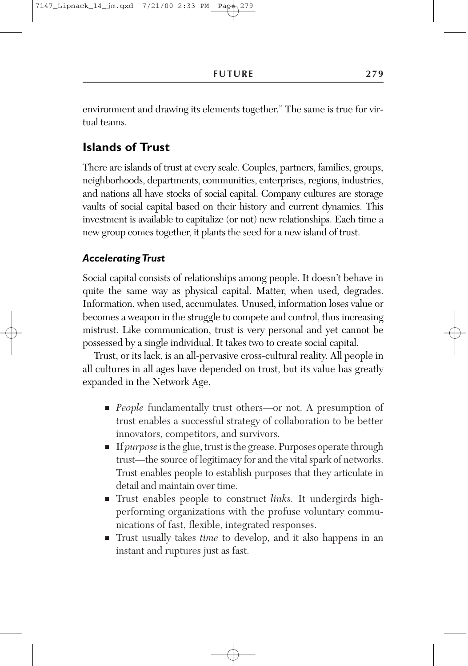environment and drawing its elements together." The same is true for virtual teams.

## **Islands of Trust**

There are islands of trust at every scale. Couples, partners, families, groups, neighborhoods, departments, communities, enterprises, regions, industries, and nations all have stocks of social capital. Company cultures are storage vaults of social capital based on their history and current dynamics. This investment is available to capitalize (or not) new relationships. Each time a new group comes together, it plants the seed for a new island of trust.

## *Accelerating Trust*

Social capital consists of relationships among people. It doesn't behave in quite the same way as physical capital. Matter, when used, degrades. Information, when used, accumulates. Unused, information loses value or becomes a weapon in the struggle to compete and control, thus increasing mistrust. Like communication, trust is very personal and yet cannot be possessed by a single individual. It takes two to create social capital.

Trust, or its lack, is an all-pervasive cross-cultural reality. All people in all cultures in all ages have depended on trust, but its value has greatly expanded in the Network Age.

- *People* fundamentally trust others—or not. A presumption of trust enables a successful strategy of collaboration to be better innovators, competitors, and survivors.
- If *purpose* is the glue, trust is the grease. Purposes operate through trust—the source of legitimacy for and the vital spark of networks. Trust enables people to establish purposes that they articulate in detail and maintain over time.
- Trust enables people to construct *links*. It undergirds highperforming organizations with the profuse voluntary communications of fast, flexible, integrated responses.
- Trust usually takes *time* to develop, and it also happens in an instant and ruptures just as fast.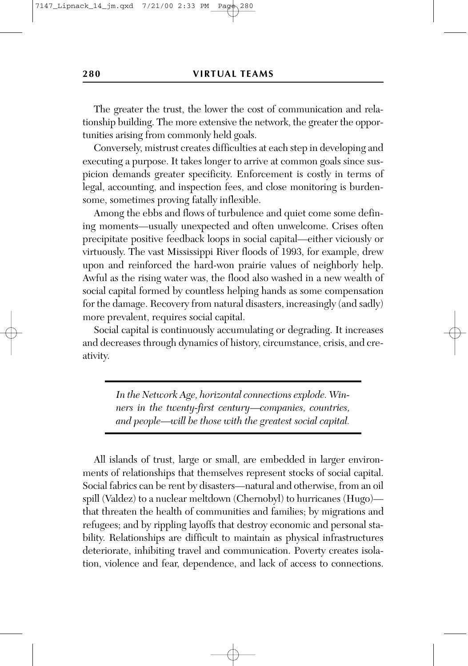The greater the trust, the lower the cost of communication and relationship building. The more extensive the network, the greater the opportunities arising from commonly held goals.

Conversely, mistrust creates difficulties at each step in developing and executing a purpose. It takes longer to arrive at common goals since suspicion demands greater specificity. Enforcement is costly in terms of legal, accounting, and inspection fees, and close monitoring is burdensome, sometimes proving fatally inflexible.

Among the ebbs and flows of turbulence and quiet come some defining moments—usually unexpected and often unwelcome. Crises often precipitate positive feedback loops in social capital—either viciously or virtuously. The vast Mississippi River floods of 1993, for example, drew upon and reinforced the hard-won prairie values of neighborly help. Awful as the rising water was, the flood also washed in a new wealth of social capital formed by countless helping hands as some compensation for the damage. Recovery from natural disasters, increasingly (and sadly) more prevalent, requires social capital.

Social capital is continuously accumulating or degrading. It increases and decreases through dynamics of history, circumstance, crisis, and creativity.

> *In the Network Age, horizontal connections explode. Winners in the twenty-first century—companies, countries, and people—will be those with the greatest social capital.*

All islands of trust, large or small, are embedded in larger environments of relationships that themselves represent stocks of social capital. Social fabrics can be rent by disasters—natural and otherwise, from an oil spill (Valdez) to a nuclear meltdown (Chernobyl) to hurricanes (Hugo) that threaten the health of communities and families; by migrations and refugees; and by rippling layoffs that destroy economic and personal stability. Relationships are difficult to maintain as physical infrastructures deteriorate, inhibiting travel and communication. Poverty creates isolation, violence and fear, dependence, and lack of access to connections.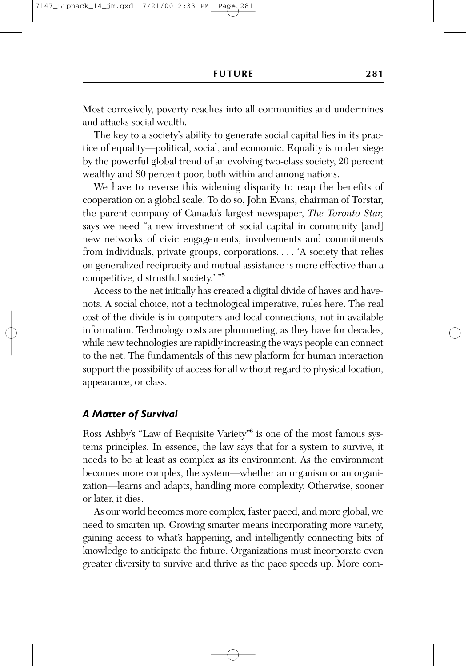Most corrosively, poverty reaches into all communities and undermines and attacks social wealth.

The key to a society's ability to generate social capital lies in its practice of equality—political, social, and economic. Equality is under siege by the powerful global trend of an evolving two-class society, 20 percent wealthy and 80 percent poor, both within and among nations.

We have to reverse this widening disparity to reap the benefits of cooperation on a global scale. To do so, John Evans, chairman of Torstar, the parent company of Canada's largest newspaper, *The Toronto Star,* says we need "a new investment of social capital in community [and] new networks of civic engagements, involvements and commitments from individuals, private groups, corporations. . . . 'A society that relies on generalized reciprocity and mutual assistance is more effective than a competitive, distrustful society.' "5

Access to the net initially has created a digital divide of haves and havenots. A social choice, not a technological imperative, rules here. The real cost of the divide is in computers and local connections, not in available information. Technology costs are plummeting, as they have for decades, while new technologies are rapidly increasing the ways people can connect to the net. The fundamentals of this new platform for human interaction support the possibility of access for all without regard to physical location, appearance, or class.

#### *A Matter of Survival*

Ross Ashby's "Law of Requisite Variety"<sup>6</sup> is one of the most famous systems principles. In essence, the law says that for a system to survive, it needs to be at least as complex as its environment. As the environment becomes more complex, the system—whether an organism or an organization—learns and adapts, handling more complexity. Otherwise, sooner or later, it dies.

As our world becomes more complex, faster paced, and more global, we need to smarten up. Growing smarter means incorporating more variety, gaining access to what's happening, and intelligently connecting bits of knowledge to anticipate the future. Organizations must incorporate even greater diversity to survive and thrive as the pace speeds up. More com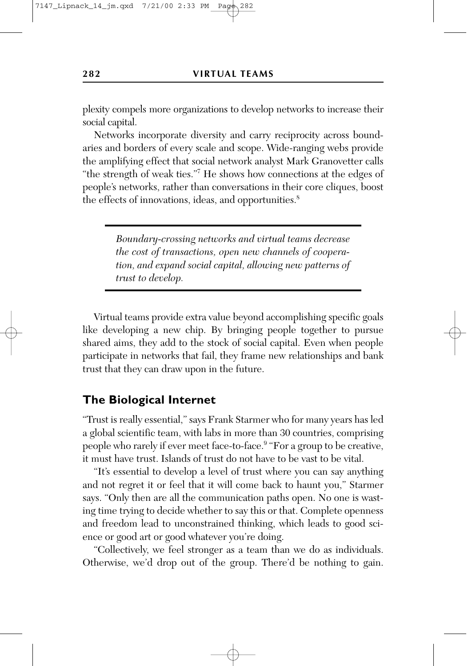plexity compels more organizations to develop networks to increase their social capital.

Networks incorporate diversity and carry reciprocity across boundaries and borders of every scale and scope. Wide-ranging webs provide the amplifying effect that social network analyst Mark Granovetter calls "the strength of weak ties."7 He shows how connections at the edges of people's networks, rather than conversations in their core cliques, boost the effects of innovations, ideas, and opportunities.<sup>8</sup>

> *Boundary-crossing networks and virtual teams decrease the cost of transactions, open new channels of cooperation, and expand social capital, allowing new patterns of trust to develop.*

Virtual teams provide extra value beyond accomplishing specific goals like developing a new chip. By bringing people together to pursue shared aims, they add to the stock of social capital. Even when people participate in networks that fail, they frame new relationships and bank trust that they can draw upon in the future.

#### **The Biological Internet**

"Trust is really essential," says Frank Starmer who for many years has led a global scientific team, with labs in more than 30 countries, comprising people who rarely if ever meet face-to-face.<sup>9</sup> "For a group to be creative, it must have trust. Islands of trust do not have to be vast to be vital.

"It's essential to develop a level of trust where you can say anything and not regret it or feel that it will come back to haunt you," Starmer says. "Only then are all the communication paths open. No one is wasting time trying to decide whether to say this or that. Complete openness and freedom lead to unconstrained thinking, which leads to good science or good art or good whatever you're doing.

"Collectively, we feel stronger as a team than we do as individuals. Otherwise, we'd drop out of the group. There'd be nothing to gain.